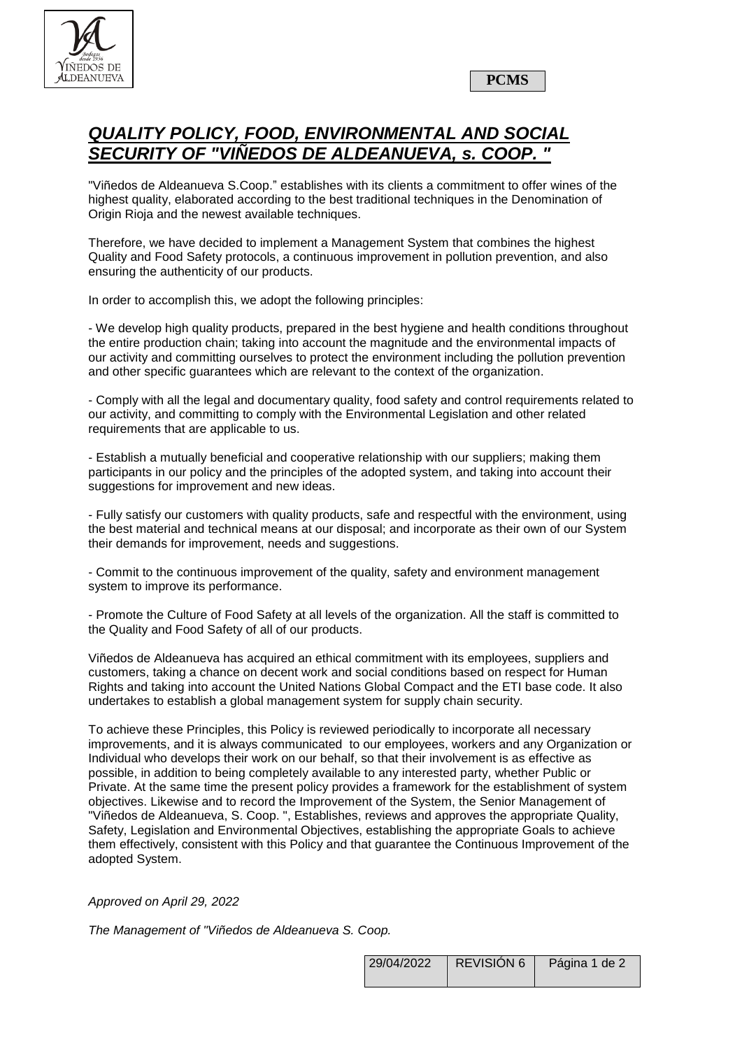

**PCMS**

## *QUALITY POLICY, FOOD, ENVIRONMENTAL AND SOCIAL SECURITY OF "VIÑEDOS DE ALDEANUEVA, s. COOP. "*

"Viñedos de Aldeanueva S.Coop." establishes with its clients a commitment to offer wines of the highest quality, elaborated according to the best traditional techniques in the Denomination of Origin Rioja and the newest available techniques.

Therefore, we have decided to implement a Management System that combines the highest Quality and Food Safety protocols, a continuous improvement in pollution prevention, and also ensuring the authenticity of our products.

In order to accomplish this, we adopt the following principles:

- We develop high quality products, prepared in the best hygiene and health conditions throughout the entire production chain; taking into account the magnitude and the environmental impacts of our activity and committing ourselves to protect the environment including the pollution prevention and other specific guarantees which are relevant to the context of the organization.

- Comply with all the legal and documentary quality, food safety and control requirements related to our activity, and committing to comply with the Environmental Legislation and other related requirements that are applicable to us.

- Establish a mutually beneficial and cooperative relationship with our suppliers; making them participants in our policy and the principles of the adopted system, and taking into account their suggestions for improvement and new ideas.

- Fully satisfy our customers with quality products, safe and respectful with the environment, using the best material and technical means at our disposal; and incorporate as their own of our System their demands for improvement, needs and suggestions.

- Commit to the continuous improvement of the quality, safety and environment management system to improve its performance.

- Promote the Culture of Food Safety at all levels of the organization. All the staff is committed to the Quality and Food Safety of all of our products.

Viñedos de Aldeanueva has acquired an ethical commitment with its employees, suppliers and customers, taking a chance on decent work and social conditions based on respect for Human Rights and taking into account the United Nations Global Compact and the ETI base code. It also undertakes to establish a global management system for supply chain security.

To achieve these Principles, this Policy is reviewed periodically to incorporate all necessary improvements, and it is always communicated to our employees, workers and any Organization or Individual who develops their work on our behalf, so that their involvement is as effective as possible, in addition to being completely available to any interested party, whether Public or Private. At the same time the present policy provides a framework for the establishment of system objectives. Likewise and to record the Improvement of the System, the Senior Management of "Viñedos de Aldeanueva, S. Coop. ", Establishes, reviews and approves the appropriate Quality, Safety, Legislation and Environmental Objectives, establishing the appropriate Goals to achieve them effectively, consistent with this Policy and that guarantee the Continuous Improvement of the adopted System.

*Approved on April 29, 2022*

*The Management of "Viñedos de Aldeanueva S. Coop.*

| 29/04/2022 | <b>REVISION 6</b> | Página 1 de 2 |
|------------|-------------------|---------------|
|            |                   |               |